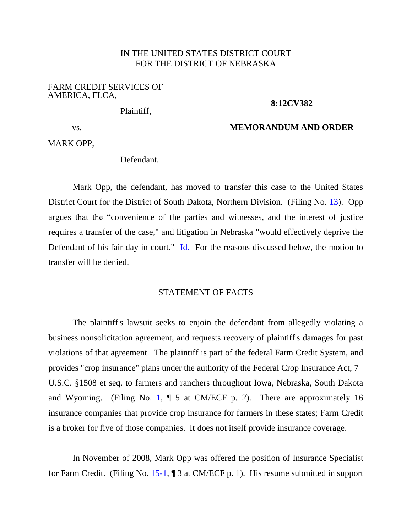# IN THE UNITED STATES DISTRICT COURT FOR THE DISTRICT OF NEBRASKA

### FARM CREDIT SERVICES OF AMERICA, FLCA,

Plaintiff,

# **8:12CV382**

#### vs.

# **MEMORANDUM AND ORDER**

MARK OPP,

Defendant.

Mark Opp, the defendant, has moved to transfer this case to the United States District Court for the District of South Dakota, Northern Division. (Filing No. [13\)](https://ecf.ned.uscourts.gov/doc1/11312654234). Opp argues that the "convenience of the parties and witnesses, and the interest of justice requires a transfer of the case," and litigation in Nebraska "would effectively deprive the Defendant of his fair day in court." [Id.](https://ecf.ned.uscourts.gov/doc1/11312654234) For the reasons discussed below, the motion to transfer will be denied.

# STATEMENT OF FACTS

The plaintiff's lawsuit seeks to enjoin the defendant from allegedly violating a business nonsolicitation agreement, and requests recovery of plaintiff's damages for past violations of that agreement. The plaintiff is part of the federal Farm Credit System, and provides "crop insurance" plans under the authority of the Federal Crop Insurance Act, 7 U.S.C. §1508 et seq. to farmers and ranchers throughout Iowa, Nebraska, South Dakota and Wyoming. (Filing No. [1,](https://ecf.ned.uscourts.gov/doc1/11302638184?page=2)  $\P$  5 at CM/ECF p. 2). There are approximately 16 insurance companies that provide crop insurance for farmers in these states; Farm Credit is a broker for five of those companies. It does not itself provide insurance coverage.

In November of 2008, Mark Opp was offered the position of Insurance Specialist for Farm Credit. (Filing No. [15-1,](https://ecf.ned.uscourts.gov/doc1/11312654247) ¶ 3 at CM/ECF p. 1). His resume submitted in support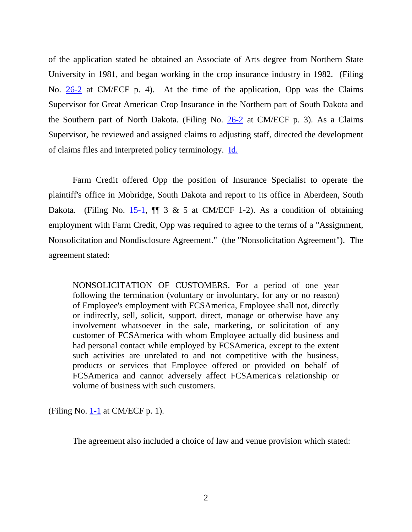of the application stated he obtained an Associate of Arts degree from Northern State University in 1981, and began working in the crop insurance industry in 1982. (Filing No. [26-2](https://ecf.ned.uscourts.gov/doc1/11312659395?page=4) at CM/ECF p. 4). At the time of the application, Opp was the Claims Supervisor for Great American Crop Insurance in the Northern part of South Dakota and the Southern part of North Dakota. (Filing No. [26-2](https://ecf.ned.uscourts.gov/doc1/11312659395?page=3) at CM/ECF p. 3). As a Claims Supervisor, he reviewed and assigned claims to adjusting staff, directed the development of claims files and interpreted policy terminology. [Id.](https://ecf.ned.uscourts.gov/doc1/11312659395?page=3)

Farm Credit offered Opp the position of Insurance Specialist to operate the plaintiff's office in Mobridge, South Dakota and report to its office in Aberdeen, South Dakota. (Filing No.  $15-1$ ,  $\P$  3 & 5 at CM/ECF 1-2). As a condition of obtaining employment with Farm Credit, Opp was required to agree to the terms of a "Assignment, Nonsolicitation and Nondisclosure Agreement." (the "Nonsolicitation Agreement"). The agreement stated:

NONSOLICITATION OF CUSTOMERS. For a period of one year following the termination (voluntary or involuntary, for any or no reason) of Employee's employment with FCSAmerica, Employee shall not, directly or indirectly, sell, solicit, support, direct, manage or otherwise have any involvement whatsoever in the sale, marketing, or solicitation of any customer of FCSAmerica with whom Employee actually did business and had personal contact while employed by FCSAmerica, except to the extent such activities are unrelated to and not competitive with the business, products or services that Employee offered or provided on behalf of FCSAmerica and cannot adversely affect FCSAmerica's relationship or volume of business with such customers.

(Filing No. [1-1](https://ecf.ned.uscourts.gov/doc1/11312638185) at CM/ECF p. 1).

The agreement also included a choice of law and venue provision which stated: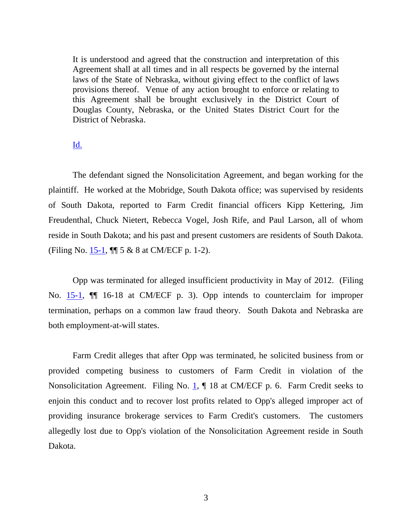It is understood and agreed that the construction and interpretation of this Agreement shall at all times and in all respects be governed by the internal laws of the State of Nebraska, without giving effect to the conflict of laws provisions thereof. Venue of any action brought to enforce or relating to this Agreement shall be brought exclusively in the District Court of Douglas County, Nebraska, or the United States District Court for the District of Nebraska.

### [Id.](https://ecf.ned.uscourts.gov/doc1/11312638185)

The defendant signed the Nonsolicitation Agreement, and began working for the plaintiff. He worked at the Mobridge, South Dakota office; was supervised by residents of South Dakota, reported to Farm Credit financial officers Kipp Kettering, Jim Freudenthal, Chuck Nietert, Rebecca Vogel, Josh Rife, and Paul Larson, all of whom reside in South Dakota; and his past and present customers are residents of South Dakota. (Filing No. [15-1,](https://ecf.ned.uscourts.gov/doc1/11312654247) ¶¶ 5 & 8 at CM/ECF p. 1-2).

Opp was terminated for alleged insufficient productivity in May of 2012. (Filing No. [15-1,](https://ecf.ned.uscourts.gov/doc1/11312654247?page=3) ¶¶ 16-18 at CM/ECF p. 3). Opp intends to counterclaim for improper termination, perhaps on a common law fraud theory. South Dakota and Nebraska are both employment-at-will states.

Farm Credit alleges that after Opp was terminated, he solicited business from or provided competing business to customers of Farm Credit in violation of the Nonsolicitation Agreement. Filing No. [1,](https://ecf.ned.uscourts.gov/doc1/11312638184?page=6) ¶ 18 at CM/ECF p. 6. Farm Credit seeks to enjoin this conduct and to recover lost profits related to Opp's alleged improper act of providing insurance brokerage services to Farm Credit's customers. The customers allegedly lost due to Opp's violation of the Nonsolicitation Agreement reside in South Dakota.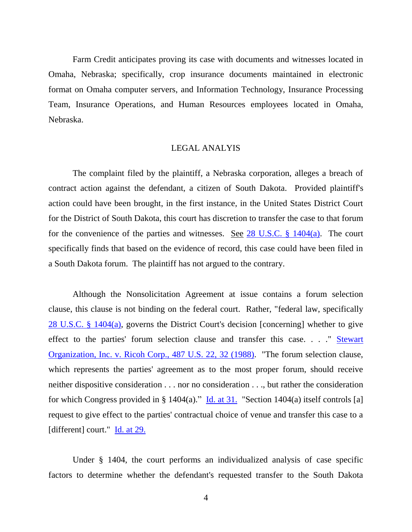Farm Credit anticipates proving its case with documents and witnesses located in Omaha, Nebraska; specifically, crop insurance documents maintained in electronic format on Omaha computer servers, and Information Technology, Insurance Processing Team, Insurance Operations, and Human Resources employees located in Omaha, Nebraska.

### LEGAL ANALYIS

The complaint filed by the plaintiff, a Nebraska corporation, alleges a breach of contract action against the defendant, a citizen of South Dakota. Provided plaintiff's action could have been brought, in the first instance, in the United States District Court for the District of South Dakota, this court has discretion to transfer the case to that forum for the convenience of the parties and witnesses. See [28 U.S.C. §](http://westlaw.com/find/default.wl?ft=L&docname=28USCAS1404&rs=btil2.0&rp=%2ffind%2fdefault.wl&fn=_top&findtype=L&vr=2.0&db=1000546&wbtoolsId=28USCAS1404&HistoryType=F) 1404(a). The court specifically finds that based on the evidence of record, this case could have been filed in a South Dakota forum. The plaintiff has not argued to the contrary.

Although the Nonsolicitation Agreement at issue contains a forum selection clause, this clause is not binding on the federal court. Rather, "federal law, specifically [28 U.S.C. §](http://westlaw.com/find/default.wl?ft=L&docname=28USCAS1404&rs=btil2.0&rp=%2ffind%2fdefault.wl&fn=_top&findtype=L&vr=2.0&db=1000546&wbtoolsId=28USCAS1404&HistoryType=F) 1404(a), governs the District Court's decision [concerning] whether to give effect to the parties' forum selection clause and transfer this case. . . . " Stewart Organization, Inc. [v. Ricoh Corp., 487 U.S. 22, 32](http://westlaw.com/find/default.wl?ft=Y&referencepositiontype=S&rs=btil2.0&rp=%2ffind%2fdefault.wl&serialnum=1988079268&fn=_top&referenceposition=32&findtype=Y&vr=2.0&db=0000780&wbtoolsId=1988079268&HistoryType=F) (1988). "The forum selection clause, which represents the parties' agreement as to the most proper forum, should receive neither dispositive consideration . . . nor no consideration . . ., but rather the consideration for which Congress provided in § 1404(a)." [Id. at 31.](http://westlaw.com/find/default.wl?ft=Y&referencepositiontype=S&rs=btil2.0&rp=%2ffind%2fdefault.wl&serialnum=1988079268&fn=_top&referenceposition=32&findtype=Y&vr=2.0&db=0000780&wbtoolsId=1988079268&HistoryType=F) "Section 1404(a) itself controls [a] request to give effect to the parties' contractual choice of venue and transfer this case to a [different] court." **[Id. at 29.](http://westlaw.com/find/default.wl?ft=Y&referencepositiontype=S&rs=btil2.0&rp=%2ffind%2fdefault.wl&serialnum=1988079268&fn=_top&referenceposition=32&findtype=Y&vr=2.0&db=0000780&wbtoolsId=1988079268&HistoryType=F)** 

Under § 1404, the court performs an individualized analysis of case specific factors to determine whether the defendant's requested transfer to the South Dakota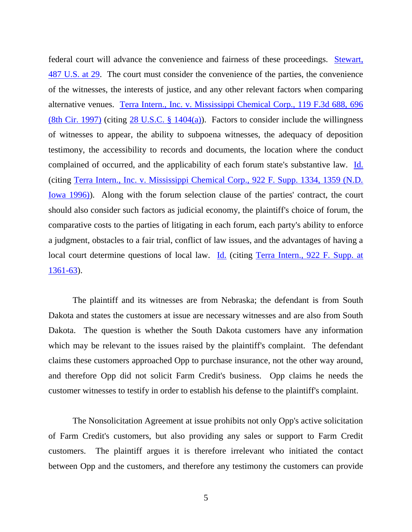federal court will advance the convenience and fairness of these proceedings. [Stewart,](http://westlaw.com/find/default.wl?ft=Y&referencepositiontype=S&rs=btil2.0&rp=%2ffind%2fdefault.wl&serialnum=1988079268&fn=_top&referenceposition=32&findtype=Y&vr=2.0&db=0000780&wbtoolsId=1988079268&HistoryType=F) [487 U.S. at](http://westlaw.com/find/default.wl?ft=Y&referencepositiontype=S&rs=btil2.0&rp=%2ffind%2fdefault.wl&serialnum=1988079268&fn=_top&referenceposition=32&findtype=Y&vr=2.0&db=0000780&wbtoolsId=1988079268&HistoryType=F) 29. The court must consider the convenience of the parties, the convenience of the witnesses, the interests of justice, and any other relevant factors when comparing alternative venues. [Terra Intern., Inc. v. Mississippi Chemical Corp., 119 F.3d 688, 696](http://westlaw.com/find/default.wl?ft=Y&referencepositiontype=S&rs=btil2.0&rp=%2ffind%2fdefault.wl&serialnum=1997145784&fn=_top&referenceposition=696&findtype=Y&vr=2.0&db=0000506&wbtoolsId=1997145784&HistoryType=F)  [\(8th Cir. 1997\)](http://westlaw.com/find/default.wl?ft=Y&referencepositiontype=S&rs=btil2.0&rp=%2ffind%2fdefault.wl&serialnum=1997145784&fn=_top&referenceposition=696&findtype=Y&vr=2.0&db=0000506&wbtoolsId=1997145784&HistoryType=F) (citing  $28$  U.S.C.  $\S$  1404(a)). Factors to consider include the willingness of witnesses to appear, the ability to subpoena witnesses, the adequacy of deposition testimony, the accessibility to records and documents, the location where the conduct complained of occurred, and the applicability of each forum state's substantive law. [Id.](http://westlaw.com/find/default.wl?ft=Y&referencepositiontype=S&rs=btil2.0&rp=%2ffind%2fdefault.wl&serialnum=1997145784&fn=_top&referenceposition=696&findtype=Y&vr=2.0&db=0000506&wbtoolsId=1997145784&HistoryType=F) (citing [Terra Intern., Inc. v. Mississippi Chemical Corp., 922 F. Supp. 1334, 1359 \(N.D.](http://westlaw.com/find/default.wl?ft=Y&referencepositiontype=S&rs=btil2.0&rp=%2ffind%2fdefault.wl&serialnum=1996088952&fn=_top&referenceposition=1359&findtype=Y&vr=2.0&db=0000345&wbtoolsId=1996088952&HistoryType=F)  [Iowa 1996\)\)](http://westlaw.com/find/default.wl?ft=Y&referencepositiontype=S&rs=btil2.0&rp=%2ffind%2fdefault.wl&serialnum=1996088952&fn=_top&referenceposition=1359&findtype=Y&vr=2.0&db=0000345&wbtoolsId=1996088952&HistoryType=F). Along with the forum selection clause of the parties' contract, the court should also consider such factors as judicial economy, the plaintiff's choice of forum, the comparative costs to the parties of litigating in each forum, each party's ability to enforce a judgment, obstacles to a fair trial, conflict of law issues, and the advantages of having a local court determine questions of local law. [Id.](http://westlaw.com/find/default.wl?ft=Y&referencepositiontype=S&rs=btil2.0&rp=%2ffind%2fdefault.wl&serialnum=1997145784&fn=_top&referenceposition=696&findtype=Y&vr=2.0&db=0000506&wbtoolsId=1997145784&HistoryType=F) (citing Terra Intern., 922 F. Supp. at [1361-63\)](http://westlaw.com/find/default.wl?ft=Y&referencepositiontype=S&rs=btil2.0&rp=%2ffind%2fdefault.wl&serialnum=1996088952&fn=_top&referenceposition=1359&findtype=Y&vr=2.0&db=0000345&wbtoolsId=1996088952&HistoryType=F).

The plaintiff and its witnesses are from Nebraska; the defendant is from South Dakota and states the customers at issue are necessary witnesses and are also from South Dakota. The question is whether the South Dakota customers have any information which may be relevant to the issues raised by the plaintiff's complaint. The defendant claims these customers approached Opp to purchase insurance, not the other way around, and therefore Opp did not solicit Farm Credit's business. Opp claims he needs the customer witnesses to testify in order to establish his defense to the plaintiff's complaint.

The Nonsolicitation Agreement at issue prohibits not only Opp's active solicitation of Farm Credit's customers, but also providing any sales or support to Farm Credit customers. The plaintiff argues it is therefore irrelevant who initiated the contact between Opp and the customers, and therefore any testimony the customers can provide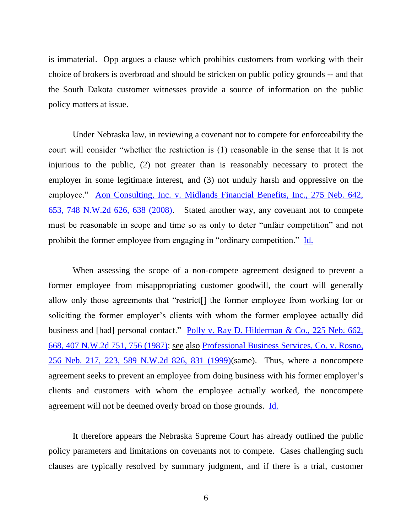is immaterial. Opp argues a clause which prohibits customers from working with their choice of brokers is overbroad and should be stricken on public policy grounds -- and that the South Dakota customer witnesses provide a source of information on the public policy matters at issue.

Under Nebraska law, in reviewing a covenant not to compete for enforceability the court will consider "whether the restriction is (1) reasonable in the sense that it is not injurious to the public, (2) not greater than is reasonably necessary to protect the employer in some legitimate interest, and (3) not unduly harsh and oppressive on the employee." [Aon Consulting, Inc. v. Midlands Financial Benefits, Inc., 275 Neb. 642,](http://westlaw.com/find/default.wl?ft=Y&referencepositiontype=S&rs=btil2.0&rp=%2ffind%2fdefault.wl&serialnum=2015993009&fn=_top&referenceposition=638&findtype=Y&vr=2.0&db=0000595&wbtoolsId=2015993009&HistoryType=F)  [653, 748 N.W.2d 626, 638 \(2008\).](http://westlaw.com/find/default.wl?ft=Y&referencepositiontype=S&rs=btil2.0&rp=%2ffind%2fdefault.wl&serialnum=2015993009&fn=_top&referenceposition=638&findtype=Y&vr=2.0&db=0000595&wbtoolsId=2015993009&HistoryType=F) Stated another way, any covenant not to compete must be reasonable in scope and time so as only to deter "unfair competition" and not prohibit the former employee from engaging in "ordinary competition." [Id.](http://westlaw.com/find/default.wl?ft=Y&referencepositiontype=S&rs=btil2.0&rp=%2ffind%2fdefault.wl&serialnum=2015993009&fn=_top&referenceposition=638&findtype=Y&vr=2.0&db=0000595&wbtoolsId=2015993009&HistoryType=F) 

When assessing the scope of a non-compete agreement designed to prevent a former employee from misappropriating customer goodwill, the court will generally allow only those agreements that "restrict[] the former employee from working for or soliciting the former employer's clients with whom the former employee actually did business and [had] personal contact." [Polly v. Ray D. Hilderman & Co., 225 Neb. 662,](http://westlaw.com/find/default.wl?ft=Y&referencepositiontype=S&rs=btil2.0&rp=%2ffind%2fdefault.wl&serialnum=1987084065&fn=_top&referenceposition=756&findtype=Y&vr=2.0&db=0000595&wbtoolsId=1987084065&HistoryType=F)  [668, 407 N.W.2d 751, 756 \(1987\);](http://westlaw.com/find/default.wl?ft=Y&referencepositiontype=S&rs=btil2.0&rp=%2ffind%2fdefault.wl&serialnum=1987084065&fn=_top&referenceposition=756&findtype=Y&vr=2.0&db=0000595&wbtoolsId=1987084065&HistoryType=F) see also [Professional Business Services, Co. v. Rosno,](http://westlaw.com/find/default.wl?ft=Y&referencepositiontype=S&rs=btil2.0&rp=%2ffind%2fdefault.wl&serialnum=1999070745&fn=_top&referenceposition=831&findtype=Y&vr=2.0&db=0000595&wbtoolsId=1999070745&HistoryType=F)  [256 Neb. 217, 223, 589 N.W.2d 826, 831 \(1999\)\(](http://westlaw.com/find/default.wl?ft=Y&referencepositiontype=S&rs=btil2.0&rp=%2ffind%2fdefault.wl&serialnum=1999070745&fn=_top&referenceposition=831&findtype=Y&vr=2.0&db=0000595&wbtoolsId=1999070745&HistoryType=F)same). Thus, where a noncompete agreement seeks to prevent an employee from doing business with his former employer's clients and customers with whom the employee actually worked, the noncompete agreement will not be deemed overly broad on those grounds. [Id.](http://westlaw.com/find/default.wl?ft=Y&referencepositiontype=S&rs=btil2.0&rp=%2ffind%2fdefault.wl&serialnum=1987084065&fn=_top&referenceposition=756&findtype=Y&vr=2.0&db=0000595&wbtoolsId=1987084065&HistoryType=F) 

It therefore appears the Nebraska Supreme Court has already outlined the public policy parameters and limitations on covenants not to compete. Cases challenging such clauses are typically resolved by summary judgment, and if there is a trial, customer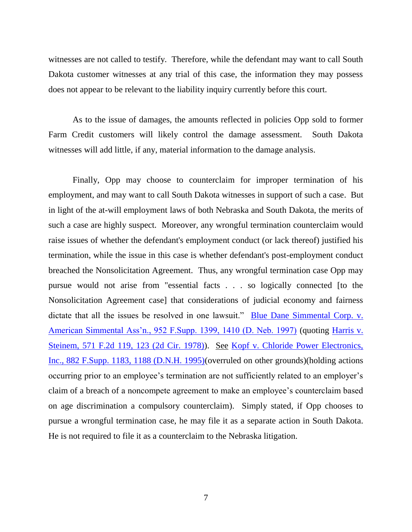witnesses are not called to testify. Therefore, while the defendant may want to call South Dakota customer witnesses at any trial of this case, the information they may possess does not appear to be relevant to the liability inquiry currently before this court.

As to the issue of damages, the amounts reflected in policies Opp sold to former Farm Credit customers will likely control the damage assessment. South Dakota witnesses will add little, if any, material information to the damage analysis.

Finally, Opp may choose to counterclaim for improper termination of his employment, and may want to call South Dakota witnesses in support of such a case. But in light of the at-will employment laws of both Nebraska and South Dakota, the merits of such a case are highly suspect. Moreover, any wrongful termination counterclaim would raise issues of whether the defendant's employment conduct (or lack thereof) justified his termination, while the issue in this case is whether defendant's post-employment conduct breached the Nonsolicitation Agreement. Thus, any wrongful termination case Opp may pursue would not arise from "essential facts . . . so logically connected [to the Nonsolicitation Agreement case] that considerations of judicial economy and fairness dictate that all the issues be resolved in one lawsuit." Blue Dane Simmental Corp. v. [American Simmental Ass'n., 952 F.Supp. 1399, 1410 \(D. Neb. 1997\)](http://westlaw.com/find/default.wl?ft=Y&referencepositiontype=S&rs=btil2.0&rp=%2ffind%2fdefault.wl&serialnum=1997049257&fn=_top&referenceposition=1410&findtype=Y&vr=2.0&db=0000345&wbtoolsId=1997049257&HistoryType=F) (quoting [Harris v.](http://westlaw.com/find/default.wl?ft=Y&referencepositiontype=S&rs=btil2.0&rp=%2ffind%2fdefault.wl&serialnum=1978102732&fn=_top&referenceposition=123&findtype=Y&vr=2.0&db=0000350&wbtoolsId=1978102732&HistoryType=F)  [Steinem, 571 F.2d 119, 123 \(2d Cir. 1978\)\)](http://westlaw.com/find/default.wl?ft=Y&referencepositiontype=S&rs=btil2.0&rp=%2ffind%2fdefault.wl&serialnum=1978102732&fn=_top&referenceposition=123&findtype=Y&vr=2.0&db=0000350&wbtoolsId=1978102732&HistoryType=F). See [Kopf v. Chloride Power Electronics,](http://westlaw.com/find/default.wl?ft=Y&referencepositiontype=S&rs=btil2.0&rp=%2ffind%2fdefault.wl&serialnum=1995091038&fn=_top&referenceposition=1188&findtype=Y&vr=2.0&db=0000345&wbtoolsId=1995091038&HistoryType=F)  [Inc., 882 F.Supp. 1183, 1188 \(D.N.H. 1995\)\(](http://westlaw.com/find/default.wl?ft=Y&referencepositiontype=S&rs=btil2.0&rp=%2ffind%2fdefault.wl&serialnum=1995091038&fn=_top&referenceposition=1188&findtype=Y&vr=2.0&db=0000345&wbtoolsId=1995091038&HistoryType=F)overruled on other grounds)(holding actions occurring prior to an employee's termination are not sufficiently related to an employer's claim of a breach of a noncompete agreement to make an employee's counterclaim based on age discrimination a compulsory counterclaim). Simply stated, if Opp chooses to pursue a wrongful termination case, he may file it as a separate action in South Dakota. He is not required to file it as a counterclaim to the Nebraska litigation.